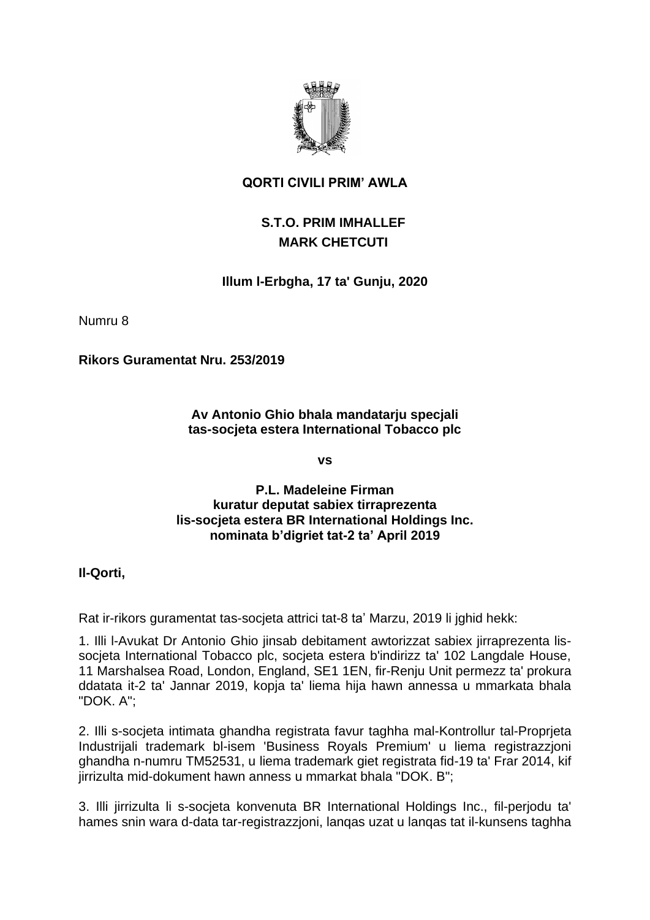

### **QORTI CIVILI PRIM' AWLA**

# **S.T.O. PRIM IMHALLEF MARK CHETCUTI**

## **Illum l-Erbgha, 17 ta' Gunju, 2020**

Numru 8

**Rikors Guramentat Nru. 253/2019**

**Av Antonio Ghio bhala mandatarju specjali tas-socjeta estera International Tobacco plc**

**vs**

**P.L. Madeleine Firman kuratur deputat sabiex tirraprezenta lis-socjeta estera BR International Holdings Inc. nominata b'digriet tat-2 ta' April 2019**

**Il-Qorti,**

Rat ir-rikors guramentat tas-socjeta attrici tat-8 ta' Marzu, 2019 li jghid hekk:

1. Illi l-Avukat Dr Antonio Ghio jinsab debitament awtorizzat sabiex jirraprezenta lissocjeta International Tobacco plc, socjeta estera b'indirizz ta' 102 Langdale House, 11 Marshalsea Road, London, England, SE1 1EN, fir-Renju Unit permezz ta' prokura ddatata it-2 ta' Jannar 2019, kopja ta' liema hija hawn annessa u mmarkata bhala "DOK. A";

2. Illi s-socjeta intimata ghandha registrata favur taghha mal-Kontrollur tal-Proprjeta Industrijali trademark bl-isem 'Business Royals Premium' u liema registrazzjoni ghandha n-numru TM52531, u liema trademark giet registrata fid-19 ta' Frar 2014, kif jirrizulta mid-dokument hawn anness u mmarkat bhala "DOK. B";

3. Illi jirrizulta li s-socjeta konvenuta BR International Holdings Inc., fil-perjodu ta' hames snin wara d-data tar-registrazzjoni, lanqas uzat u lanqas tat il-kunsens taghha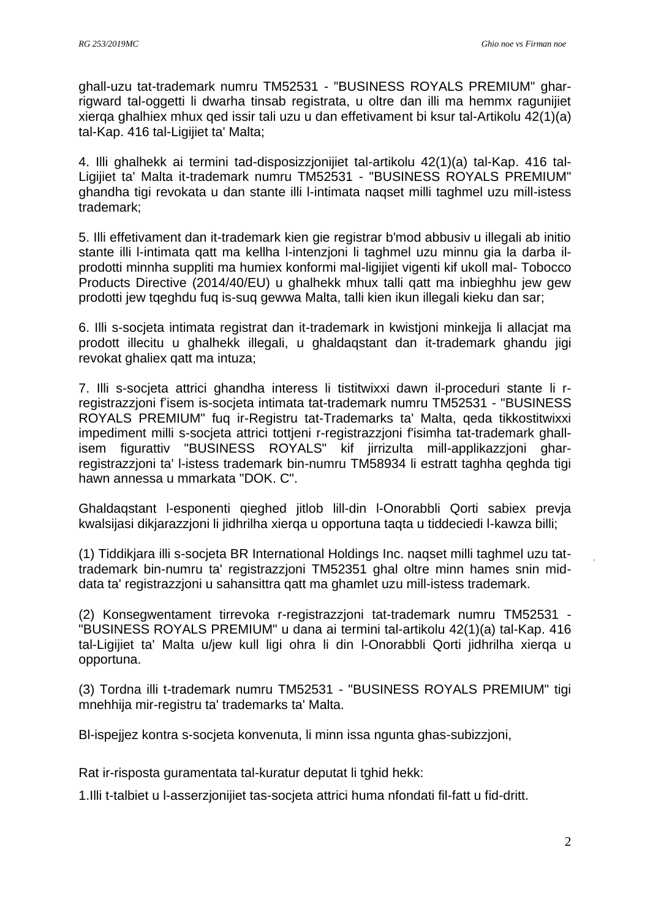ghall-uzu tat-trademark numru TM52531 - "BUSINESS ROYALS PREMIUM" gharrigward tal-oggetti li dwarha tinsab registrata, u oltre dan illi ma hemmx ragunijiet xierqa ghalhiex mhux qed issir tali uzu u dan effetivament bi ksur tal-Artikolu 42(1)(a) tal-Kap. 416 tal-Ligijiet ta' Malta;

4. Illi ghalhekk ai termini tad-disposizzjonijiet tal-artikolu 42(1)(a) tal-Kap. 416 tal-Ligijiet ta' Malta it-trademark numru TM52531 - "BUSINESS ROYALS PREMIUM" ghandha tigi revokata u dan stante illi l-intimata naqset milli taghmel uzu mill-istess trademark;

5. Illi effetivament dan it-trademark kien gie registrar b'mod abbusiv u illegali ab initio stante illi l-intimata qatt ma kellha l-intenzjoni li taghmel uzu minnu gia la darba ilprodotti minnha suppliti ma humiex konformi mal-ligijiet vigenti kif ukoll mal- Tobocco Products Directive (2014/40/EU) u ghalhekk mhux talli qatt ma inbieghhu jew gew prodotti jew tqeghdu fuq is-suq gewwa Malta, talli kien ikun illegali kieku dan sar;

6. Illi s-socjeta intimata registrat dan it-trademark in kwistjoni minkejja li allacjat ma prodott illecitu u ghalhekk illegali, u ghaldaqstant dan it-trademark ghandu jigi revokat ghaliex gatt ma intuza:

7. Illi s-socjeta attrici ghandha interess li tistitwixxi dawn il-proceduri stante li rregistrazzjoni f'isem is-socjeta intimata tat-trademark numru TM52531 - "BUSINESS ROYALS PREMIUM" fuq ir-Registru tat-Trademarks ta' Malta, qeda tikkostitwixxi impediment milli s-socjeta attrici tottjeni r-registrazzjoni f'isimha tat-trademark ghallisem figurattiv "BUSINESS ROYALS" kif jirrizulta mill-applikazzjoni gharregistrazzjoni ta' l-istess trademark bin-numru TM58934 li estratt taghha qeghda tigi hawn annessa u mmarkata "DOK. C".

Ghaldaqstant l-esponenti qieghed jitlob lill-din l-Onorabbli Qorti sabiex prevja kwalsijasi dikjarazzjoni li jidhrilha xierqa u opportuna taqta u tiddeciedi l-kawza billi;

(1) Tiddikjara illi s-socjeta BR International Holdings Inc. naqset milli taghmel uzu tattrademark bin-numru ta' registrazzjoni TM52351 ghal oltre minn hames snin middata ta' registrazzjoni u sahansittra qatt ma ghamlet uzu mill-istess trademark.

(2) Konsegwentament tirrevoka r-registrazzjoni tat-trademark numru TM52531 - "BUSINESS ROYALS PREMIUM" u dana ai termini tal-artikolu 42(1)(a) tal-Kap. 416 tal-Ligijiet ta' Malta u/jew kull ligi ohra li din l-Onorabbli Qorti jidhrilha xierqa u opportuna.

(3) Tordna illi t-trademark numru TM52531 - "BUSINESS ROYALS PREMIUM" tigi mnehhija mir-registru ta' trademarks ta' Malta.

Bl-ispejjez kontra s-socjeta konvenuta, li minn issa ngunta ghas-subizzjoni,

Rat ir-risposta guramentata tal-kuratur deputat li tghid hekk:

1.Illi t-talbiet u l-asserzjonijiet tas-socjeta attrici huma nfondati fil-fatt u fid-dritt.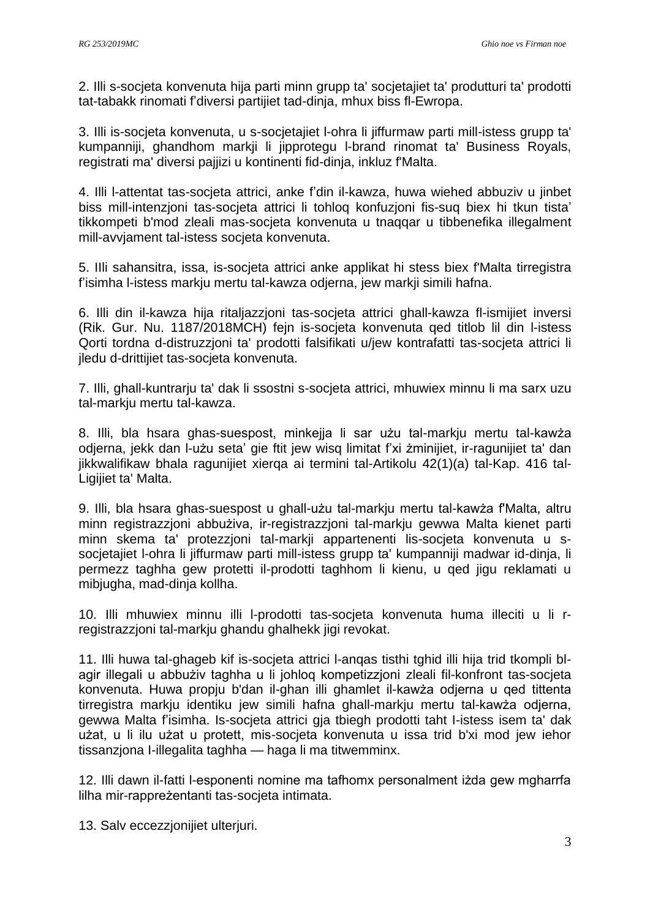2. Illi s-socjeta konvenuta hija parti minn grupp ta' socjetajiet ta' produtturi ta' prodotti tat-tabakk rinomati f'diversi partijiet tad-dinja, mhux biss fl-Ewropa.

3. Illi is-socjeta konvenuta, u s-socjetajiet l-ohra li jiffurmaw parti mill-istess grupp ta' kumpanniji, ghandhom markji li jipprotegu l-brand rinomat ta' Business Royals, registrati ma' diversi pajjizi u kontinenti fid-dinja, inkluz f'Malta.

4. Illi l-attentat tas-socjeta attrici, anke f'din il-kawza, huwa wiehed abbuziv u jinbet biss mill-intenzjoni tas-socjeta attrici li tohloq konfuzjoni fis-suq biex hi tkun tista' tikkompeti b'mod zleali mas-socjeta konvenuta u tnaqqar u tibbenefika illegalment mill-avvjament tal-istess socjeta konvenuta.

5. IIli sahansitra, issa, is-socjeta attrici anke applikat hi stess biex f'Malta tirregistra f'isimha l-istess markju mertu tal-kawza odjerna, jew markji simili hafna.

6. Illi din il-kawza hija ritaljazzjoni tas-socjeta attrici ghall-kawza fl-ismijiet inversi (Rik. Gur. Nu. 1187/2018MCH) fejn is-socjeta konvenuta qed titlob lil din l-istess Qorti tordna d-distruzzjoni ta' prodotti falsifikati u/jew kontrafatti tas-socjeta attrici li jledu d-drittijiet tas-socjeta konvenuta.

7. Illi, ghall-kuntrarju ta' dak li ssostni s-socjeta attrici, mhuwiex minnu li ma sarx uzu tal-markju mertu tal-kawza.

8. Illi, bla hsara ghas-suespost, minkejja li sar użu tal-markju mertu tal-kawża odjerna, jekk dan l-użu seta' gie ftit jew wisq limitat f'xi żminijiet, ir-ragunijiet ta' dan jikkwalifikaw bhala ragunijiet xierqa ai termini tal-Artikolu 42(1)(a) tal-Kap. 416 tal-Ligijiet ta' Malta.

9. Illi, bla hsara ghas-suespost u ghall-użu tal-markju mertu tal-kawża f'Malta, altru minn registrazzjoni abbużiva, ir-registrazzjoni tal-markju gewwa Malta kienet parti minn skema ta' protezzjoni tal-markji appartenenti lis-socjeta konvenuta u ssocjetajiet l-ohra li jiffurmaw parti mill-istess grupp ta' kumpanniji madwar id-dinja, li permezz taghha gew protetti il-prodotti taghhom li kienu, u qed jigu reklamati u mibjugha, mad-dinja kollha.

10. Illi mhuwiex minnu illi l-prodotti tas-socjeta konvenuta huma illeciti u li rregistrazzjoni tal-markju ghandu ghalhekk jigi revokat.

11. Illi huwa tal-ghageb kif is-socjeta attrici l-anqas tisthi tghid illi hija trid tkompli blagir illegali u abbużiv taghha u li johloq kompetizzjoni zleali fil-konfront tas-socjeta konvenuta. Huwa propju b'dan il-ghan illi ghamlet il-kawża odjerna u qed tittenta tirregistra markju identiku jew simili hafna ghall-markju mertu tal-kawża odjerna, gewwa Malta f'isimha. Is-socjeta attrici gja tbiegh prodotti taht I-istess isem ta' dak użat, u li ilu użat u protett, mis-socjeta konvenuta u issa trid b'xi mod jew iehor tissanzjona I-illegalita taghha — haga li ma titwemminx.

12. Illi dawn il-fatti l-esponenti nomine ma tafhomx personalment iżda gew mgharrfa lilha mir-rappreżentanti tas-socjeta intimata.

13. Salv eccezzjonijiet ulterjuri.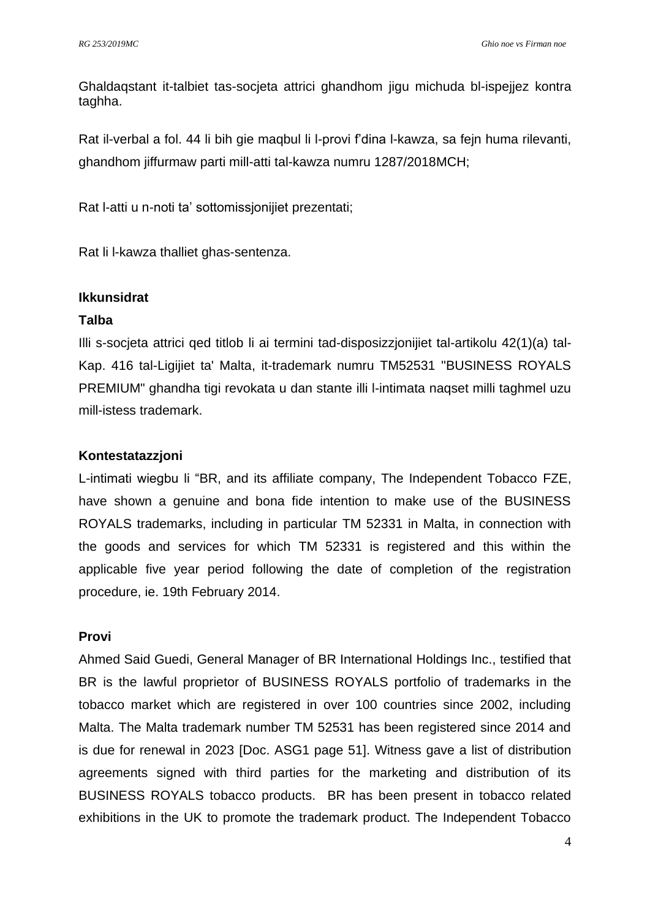Ghaldaqstant it-talbiet tas-socjeta attrici ghandhom jigu michuda bl-ispejjez kontra taghha.

Rat il-verbal a fol. 44 li bih gie maqbul li l-provi f'dina l-kawza, sa fejn huma rilevanti, ghandhom jiffurmaw parti mill-atti tal-kawza numru 1287/2018MCH;

Rat l-atti u n-noti ta' sottomissjonijiet prezentati;

Rat li l-kawza thalliet ghas-sentenza.

#### **Ikkunsidrat**

#### **Talba**

Illi s-socjeta attrici qed titlob li ai termini tad-disposizzjonijiet tal-artikolu 42(1)(a) tal-Kap. 416 tal-Ligijiet ta' Malta, it-trademark numru TM52531 "BUSINESS ROYALS PREMIUM" ghandha tigi revokata u dan stante illi l-intimata naqset milli taghmel uzu mill-istess trademark.

#### **Kontestatazzjoni**

L-intimati wiegbu li "BR, and its affiliate company, The Independent Tobacco FZE, have shown a genuine and bona fide intention to make use of the BUSINESS ROYALS trademarks, including in particular TM 52331 in Malta, in connection with the goods and services for which TM 52331 is registered and this within the applicable five year period following the date of completion of the registration procedure, ie. 19th February 2014.

### **Provi**

Ahmed Said Guedi, General Manager of BR International Holdings Inc., testified that BR is the lawful proprietor of BUSINESS ROYALS portfolio of trademarks in the tobacco market which are registered in over 100 countries since 2002, including Malta. The Malta trademark number TM 52531 has been registered since 2014 and is due for renewal in 2023 [Doc. ASG1 page 51]. Witness gave a list of distribution agreements signed with third parties for the marketing and distribution of its BUSINESS ROYALS tobacco products. BR has been present in tobacco related exhibitions in the UK to promote the trademark product. The Independent Tobacco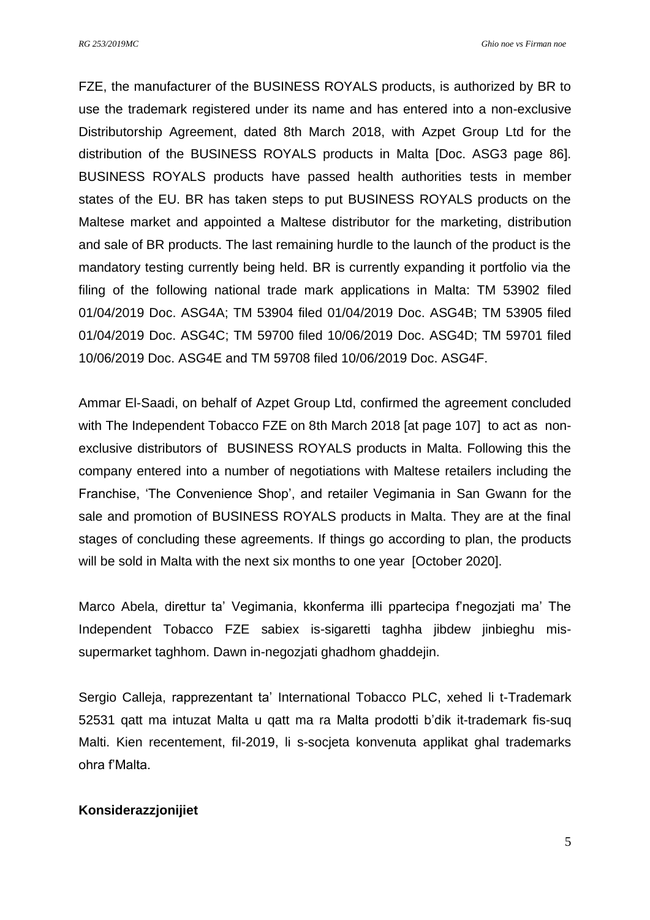*RG 253/2019MC Ghio noe vs Firman noe*

FZE, the manufacturer of the BUSINESS ROYALS products, is authorized by BR to use the trademark registered under its name and has entered into a non-exclusive Distributorship Agreement, dated 8th March 2018, with Azpet Group Ltd for the distribution of the BUSINESS ROYALS products in Malta [Doc. ASG3 page 86]. BUSINESS ROYALS products have passed health authorities tests in member states of the EU. BR has taken steps to put BUSINESS ROYALS products on the Maltese market and appointed a Maltese distributor for the marketing, distribution and sale of BR products. The last remaining hurdle to the launch of the product is the mandatory testing currently being held. BR is currently expanding it portfolio via the filing of the following national trade mark applications in Malta: TM 53902 filed 01/04/2019 Doc. ASG4A; TM 53904 filed 01/04/2019 Doc. ASG4B; TM 53905 filed 01/04/2019 Doc. ASG4C; TM 59700 filed 10/06/2019 Doc. ASG4D; TM 59701 filed 10/06/2019 Doc. ASG4E and TM 59708 filed 10/06/2019 Doc. ASG4F.

Ammar El-Saadi, on behalf of Azpet Group Ltd, confirmed the agreement concluded with The Independent Tobacco FZE on 8th March 2018 [at page 107] to act as nonexclusive distributors of BUSINESS ROYALS products in Malta. Following this the company entered into a number of negotiations with Maltese retailers including the Franchise, 'The Convenience Shop', and retailer Vegimania in San Gwann for the sale and promotion of BUSINESS ROYALS products in Malta. They are at the final stages of concluding these agreements. If things go according to plan, the products will be sold in Malta with the next six months to one year [October 2020].

Marco Abela, direttur ta' Vegimania, kkonferma illi ppartecipa f'negozjati ma' The Independent Tobacco FZE sabiex is-sigaretti taghha jibdew jinbieghu missupermarket taghhom. Dawn in-negozjati ghadhom ghaddejin.

Sergio Calleja, rapprezentant ta' International Tobacco PLC, xehed li t-Trademark 52531 qatt ma intuzat Malta u qatt ma ra Malta prodotti b'dik it-trademark fis-suq Malti. Kien recentement, fil-2019, li s-socjeta konvenuta applikat ghal trademarks ohra f'Malta.

#### **Konsiderazzjonijiet**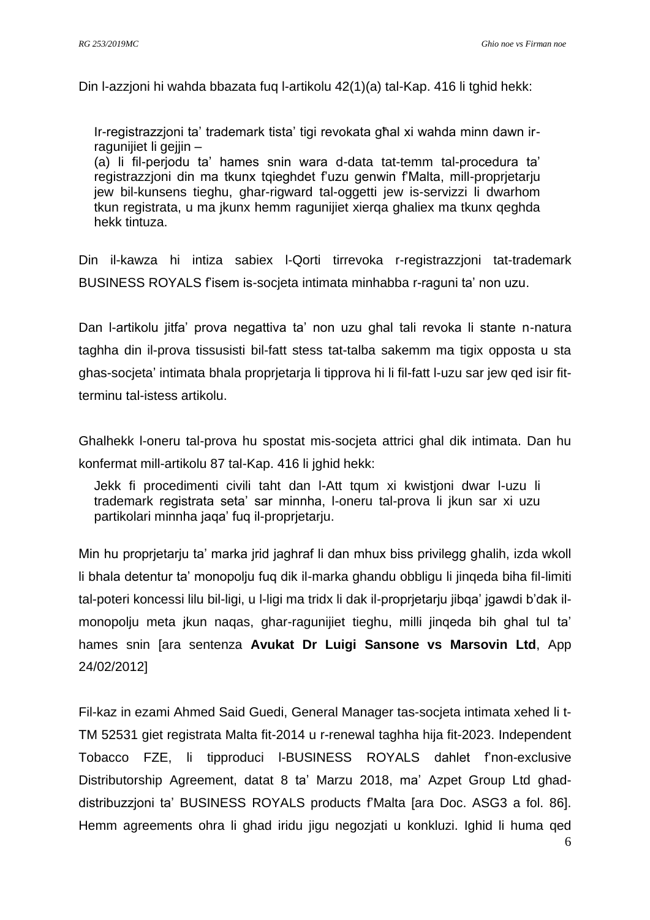Din l-azzjoni hi wahda bbazata fuq l-artikolu 42(1)(a) tal-Kap. 416 li tghid hekk:

Ir-registrazzjoni ta' trademark tista' tigi revokata għal xi wahda minn dawn irragunijiet li gejjin –

(a) li fil-perjodu ta' hames snin wara d-data tat-temm tal-procedura ta' registrazzioni din ma tkunx tgieghdet f'uzu genwin f'Malta, mill-proprietariu jew bil-kunsens tieghu, ghar-rigward tal-oggetti jew is-servizzi li dwarhom tkun registrata, u ma jkunx hemm ragunijiet xierqa ghaliex ma tkunx qeghda hekk tintuza.

Din il-kawza hi intiza sabiex l-Qorti tirrevoka r-registrazzjoni tat-trademark BUSINESS ROYALS f'isem is-socjeta intimata minhabba r-raguni ta' non uzu.

Dan l-artikolu jitfa' prova negattiva ta' non uzu ghal tali revoka li stante n-natura taghha din il-prova tissusisti bil-fatt stess tat-talba sakemm ma tigix opposta u sta ghas-socjeta' intimata bhala proprjetarja li tipprova hi li fil-fatt l-uzu sar jew qed isir fitterminu tal-istess artikolu.

Ghalhekk l-oneru tal-prova hu spostat mis-socjeta attrici ghal dik intimata. Dan hu konfermat mill-artikolu 87 tal-Kap. 416 li jghid hekk:

Jekk fi procedimenti civili taht dan l-Att tqum xi kwistjoni dwar l-uzu li trademark registrata seta' sar minnha, l-oneru tal-prova li jkun sar xi uzu partikolari minnha jaqa' fuq il-proprjetarju.

Min hu proprjetarju ta' marka jrid jaghraf li dan mhux biss privilegg ghalih, izda wkoll li bhala detentur ta' monopolju fuq dik il-marka ghandu obbligu li jinqeda biha fil-limiti tal-poteri koncessi lilu bil-ligi, u l-ligi ma tridx li dak il-proprjetarju jibqa' jgawdi b'dak ilmonopolju meta jkun naqas, ghar-ragunijiet tieghu, milli jinqeda bih ghal tul ta' hames snin [ara sentenza **Avukat Dr Luigi Sansone vs Marsovin Ltd**, App 24/02/2012]

Fil-kaz in ezami Ahmed Said Guedi, General Manager tas-socjeta intimata xehed li t-TM 52531 giet registrata Malta fit-2014 u r-renewal taghha hija fit-2023. Independent Tobacco FZE, li tipproduci l-BUSINESS ROYALS dahlet f'non-exclusive Distributorship Agreement, datat 8 ta' Marzu 2018, ma' Azpet Group Ltd ghaddistribuzzjoni ta' BUSINESS ROYALS products f'Malta [ara Doc. ASG3 a fol. 86]. Hemm agreements ohra li ghad iridu jigu negozjati u konkluzi. Ighid li huma qed

6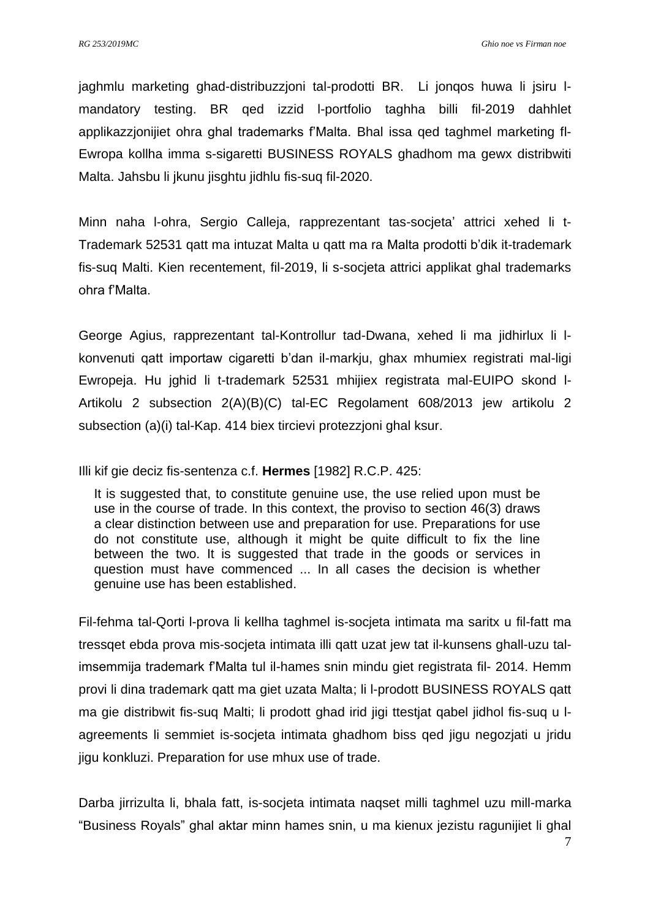jaghmlu marketing ghad-distribuzzjoni tal-prodotti BR. Li jonqos huwa li jsiru lmandatory testing. BR qed izzid l-portfolio taghha billi fil-2019 dahhlet applikazzjonijiet ohra ghal trademarks f'Malta. Bhal issa qed taghmel marketing fl-Ewropa kollha imma s-sigaretti BUSINESS ROYALS ghadhom ma gewx distribwiti Malta. Jahsbu li jkunu jisghtu jidhlu fis-suq fil-2020.

Minn naha l-ohra, Sergio Calleja, rapprezentant tas-socjeta' attrici xehed li t-Trademark 52531 qatt ma intuzat Malta u qatt ma ra Malta prodotti b'dik it-trademark fis-suq Malti. Kien recentement, fil-2019, li s-socjeta attrici applikat ghal trademarks ohra f'Malta.

George Agius, rapprezentant tal-Kontrollur tad-Dwana, xehed li ma jidhirlux li lkonvenuti qatt importaw cigaretti b'dan il-markju, ghax mhumiex registrati mal-ligi Ewropeja. Hu jghid li t-trademark 52531 mhijiex registrata mal-EUIPO skond l-Artikolu 2 subsection 2(A)(B)(C) tal-EC Regolament 608/2013 jew artikolu 2 subsection (a)(i) tal-Kap. 414 biex tircievi protezzjoni ghal ksur.

Illi kif gie deciz fis-sentenza c.f. **Hermes** [1982] R.C.P. 425:

It is suggested that, to constitute genuine use, the use relied upon must be use in the course of trade. In this context, the proviso to section 46(3) draws a clear distinction between use and preparation for use. Preparations for use do not constitute use, although it might be quite difficult to fix the line between the two. It is suggested that trade in the goods or services in question must have commenced ... In all cases the decision is whether genuine use has been established.

Fil-fehma tal-Qorti l-prova li kellha taghmel is-socjeta intimata ma saritx u fil-fatt ma tressqet ebda prova mis-socjeta intimata illi qatt uzat jew tat il-kunsens ghall-uzu talimsemmija trademark f'Malta tul il-hames snin mindu giet registrata fil- 2014. Hemm provi li dina trademark qatt ma giet uzata Malta; li l-prodott BUSINESS ROYALS qatt ma gie distribwit fis-suq Malti; li prodott ghad irid jigi ttestjat qabel jidhol fis-suq u lagreements li semmiet is-socjeta intimata ghadhom biss qed jigu negozjati u jridu jigu konkluzi. Preparation for use mhux use of trade.

Darba jirrizulta li, bhala fatt, is-socjeta intimata naqset milli taghmel uzu mill-marka "Business Royals" ghal aktar minn hames snin, u ma kienux jezistu ragunijiet li ghal